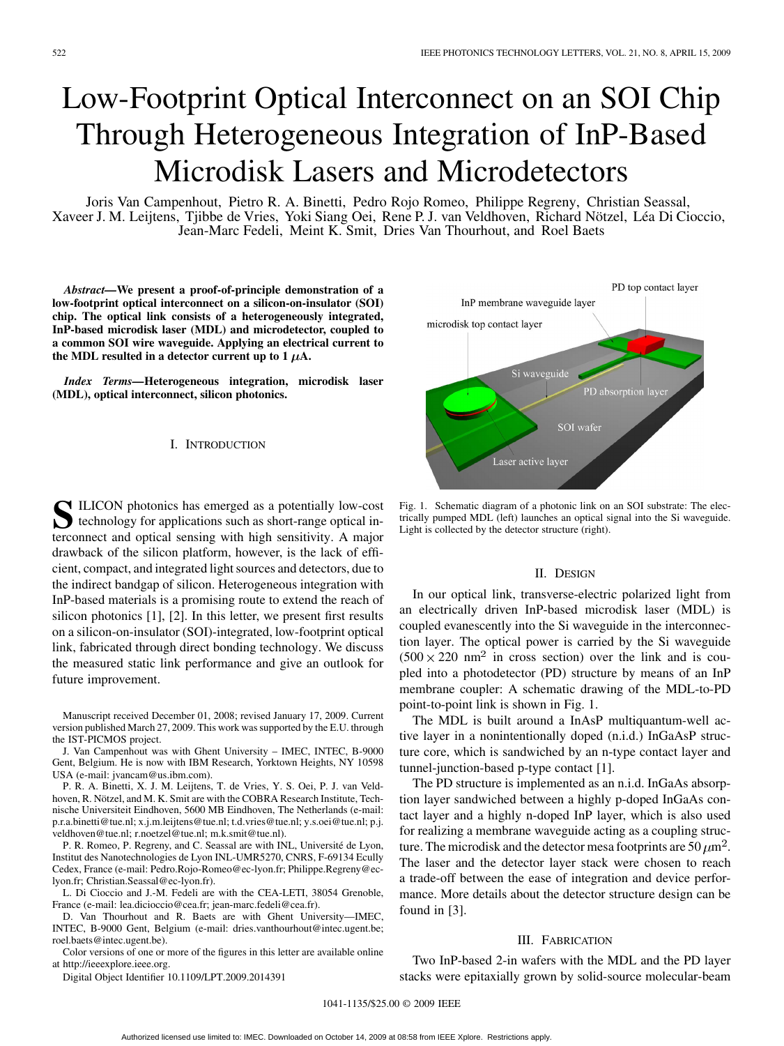# Low-Footprint Optical Interconnect on an SOI Chip Through Heterogeneous Integration of InP-Based Microdisk Lasers and Microdetectors

Joris Van Campenhout, Pietro R. A. Binetti, Pedro Rojo Romeo, Philippe Regreny, Christian Seassal, Xaveer J. M. Leijtens, Tjibbe de Vries, Yoki Siang Oei, Rene P. J. van Veldhoven, Richard Nötzel, Léa Di Cioccio, Jean-Marc Fedeli, Meint K. Smit, Dries Van Thourhout, and Roel Baets

*Abstract—***We present a proof-of-principle demonstration of a low-footprint optical interconnect on a silicon-on-insulator (SOI) chip. The optical link consists of a heterogeneously integrated, InP-based microdisk laser (MDL) and microdetector, coupled to a common SOI wire waveguide. Applying an electrical current to** the MDL resulted in a detector current up to  $1 \mu A$ .

*Index Terms—***Heterogeneous integration, microdisk laser (MDL), optical interconnect, silicon photonics.**

#### I. INTRODUCTION

SILICON photonics has emerged as a potentially low-cost technology for applications such as short-range optical interconnect and optical sensing with high sensitivity. A major drawback of the silicon platform, however, is the lack of efficient, compact, and integrated light sources and detectors, due to the indirect bandgap of silicon. Heterogeneous integration with InP-based materials is a promising route to extend the reach of silicon photonics [1], [2]. In this letter, we present first results on a silicon-on-insulator (SOI)-integrated, low-footprint optical link, fabricated through direct bonding technology. We discuss the measured static link performance and give an outlook for future improvement.

Manuscript received December 01, 2008; revised January 17, 2009. Current version published March 27, 2009. This work was supported by the E.U. through the IST-PICMOS project.

J. Van Campenhout was with Ghent University – IMEC, INTEC, B-9000 Gent, Belgium. He is now with IBM Research, Yorktown Heights, NY 10598 USA (e-mail: jvancam@us.ibm.com).

P. R. A. Binetti, X. J. M. Leijtens, T. de Vries, Y. S. Oei, P. J. van Veldhoven, R. Nötzel, and M. K. Smit are with the COBRA Research Institute, Technische Universiteit Eindhoven, 5600 MB Eindhoven, The Netherlands (e-mail: p.r.a.binetti@tue.nl; x.j.m.leijtens@tue.nl; t.d.vries@tue.nl; y.s.oei@tue.nl; p.j. veldhoven@tue.nl; r.noetzel@tue.nl; m.k.smit@tue.nl).

P. R. Romeo, P. Regreny, and C. Seassal are with INL, Université de Lyon, Institut des Nanotechnologies de Lyon INL-UMR5270, CNRS, F-69134 Ecully Cedex, France (e-mail: Pedro.Rojo-Romeo@ec-lyon.fr; Philippe.Regreny@eclyon.fr; Christian.Seassal@ec-lyon.fr).

L. Di Cioccio and J.-M. Fedeli are with the CEA-LETI, 38054 Grenoble, France (e-mail: lea.dicioccio@cea.fr; jean-marc.fedeli@cea.fr).

D. Van Thourhout and R. Baets are with Ghent University—IMEC, INTEC, B-9000 Gent, Belgium (e-mail: dries.vanthourhout@intec.ugent.be; roel.baets@intec.ugent.be).

Color versions of one or more of the figures in this letter are available online at http://ieeexplore.ieee.org.

Digital Object Identifier 10.1109/LPT.2009.2014391



Fig. 1. Schematic diagram of a photonic link on an SOI substrate: The electrically pumped MDL (left) launches an optical signal into the Si waveguide. Light is collected by the detector structure (right).

# II. DESIGN

In our optical link, transverse-electric polarized light from an electrically driven InP-based microdisk laser (MDL) is coupled evanescently into the Si waveguide in the interconnection layer. The optical power is carried by the Si waveguide  $(500 \times 220 \text{ nm}^2$  in cross section) over the link and is coupled into a photodetector (PD) structure by means of an InP membrane coupler: A schematic drawing of the MDL-to-PD point-to-point link is shown in Fig. 1.

The MDL is built around a InAsP multiquantum-well active layer in a nonintentionally doped (n.i.d.) InGaAsP structure core, which is sandwiched by an n-type contact layer and tunnel-junction-based p-type contact [1].

The PD structure is implemented as an n.i.d. InGaAs absorption layer sandwiched between a highly p-doped InGaAs contact layer and a highly n-doped InP layer, which is also used for realizing a membrane waveguide acting as a coupling structure. The microdisk and the detector mesa footprints are  $50 \mu m^2$ . The laser and the detector layer stack were chosen to reach a trade-off between the ease of integration and device performance. More details about the detector structure design can be found in [3].

# III. FABRICATION

Two InP-based 2-in wafers with the MDL and the PD layer stacks were epitaxially grown by solid-source molecular-beam

1041-1135/\$25.00 © 2009 IEEE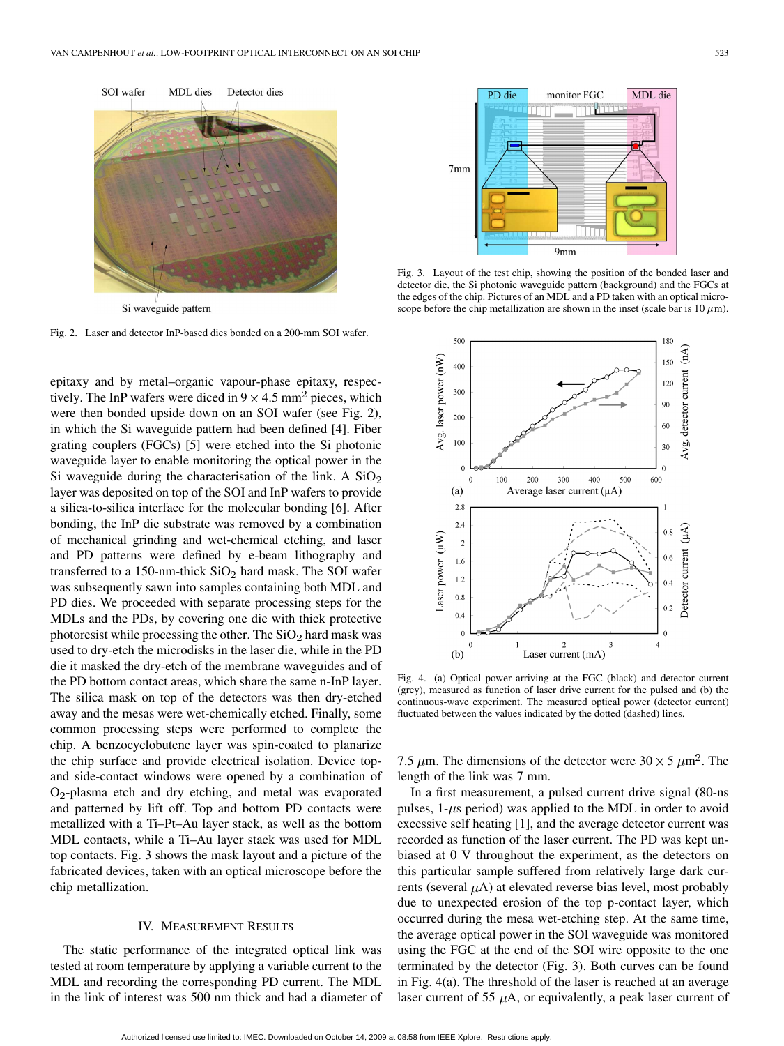

Fig. 2. Laser and detector InP-based dies bonded on a 200-mm SOI wafer.

epitaxy and by metal–organic vapour-phase epitaxy, respectively. The InP wafers were diced in  $9 \times 4.5$  mm<sup>2</sup> pieces, which were then bonded upside down on an SOI wafer (see Fig. 2), in which the Si waveguide pattern had been defined [4]. Fiber grating couplers (FGCs) [5] were etched into the Si photonic waveguide layer to enable monitoring the optical power in the Si waveguide during the characterisation of the link. A  $SiO<sub>2</sub>$ layer was deposited on top of the SOI and InP wafers to provide a silica-to-silica interface for the molecular bonding [6]. After bonding, the InP die substrate was removed by a combination of mechanical grinding and wet-chemical etching, and laser and PD patterns were defined by e-beam lithography and transferred to a 150-nm-thick  $SiO<sub>2</sub>$  hard mask. The SOI wafer was subsequently sawn into samples containing both MDL and PD dies. We proceeded with separate processing steps for the MDLs and the PDs, by covering one die with thick protective photoresist while processing the other. The  $SiO<sub>2</sub>$  hard mask was used to dry-etch the microdisks in the laser die, while in the PD die it masked the dry-etch of the membrane waveguides and of the PD bottom contact areas, which share the same n-InP layer. The silica mask on top of the detectors was then dry-etched away and the mesas were wet-chemically etched. Finally, some common processing steps were performed to complete the chip. A benzocyclobutene layer was spin-coated to planarize the chip surface and provide electrical isolation. Device topand side-contact windows were opened by a combination of  $O_2$ -plasma etch and dry etching, and metal was evaporated and patterned by lift off. Top and bottom PD contacts were metallized with a Ti–Pt–Au layer stack, as well as the bottom MDL contacts, while a Ti–Au layer stack was used for MDL top contacts. Fig. 3 shows the mask layout and a picture of the fabricated devices, taken with an optical microscope before the chip metallization.

## IV. MEASUREMENT RESULTS

The static performance of the integrated optical link was tested at room temperature by applying a variable current to the MDL and recording the corresponding PD current. The MDL in the link of interest was 500 nm thick and had a diameter of



Fig. 3. Layout of the test chip, showing the position of the bonded laser and detector die, the Si photonic waveguide pattern (background) and the FGCs at the edges of the chip. Pictures of an MDL and a PD taken with an optical microscope before the chip metallization are shown in the inset (scale bar is  $10 \mu$ m).



Fig. 4. (a) Optical power arriving at the FGC (black) and detector current (grey), measured as function of laser drive current for the pulsed and (b) the continuous-wave experiment. The measured optical power (detector current) fluctuated between the values indicated by the dotted (dashed) lines.

7.5  $\mu$ m. The dimensions of the detector were 30  $\times$  5  $\mu$ m<sup>2</sup>. The length of the link was 7 mm.

In a first measurement, a pulsed current drive signal (80-ns pulses,  $1-\mu s$  period) was applied to the MDL in order to avoid excessive self heating [1], and the average detector current was recorded as function of the laser current. The PD was kept unbiased at 0 V throughout the experiment, as the detectors on this particular sample suffered from relatively large dark currents (several  $\mu$ A) at elevated reverse bias level, most probably due to unexpected erosion of the top p-contact layer, which occurred during the mesa wet-etching step. At the same time, the average optical power in the SOI waveguide was monitored using the FGC at the end of the SOI wire opposite to the one terminated by the detector (Fig. 3). Both curves can be found in Fig. 4(a). The threshold of the laser is reached at an average laser current of 55  $\mu$ A, or equivalently, a peak laser current of